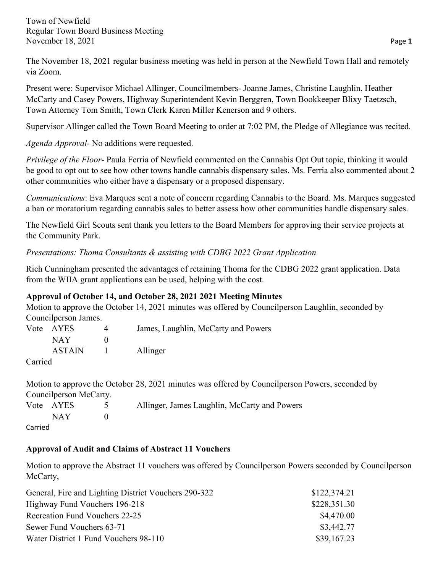The November 18, 2021 regular business meeting was held in person at the Newfield Town Hall and remotely via Zoom.

Present were: Supervisor Michael Allinger, Councilmembers- Joanne James, Christine Laughlin, Heather McCarty and Casey Powers, Highway Superintendent Kevin Berggren, Town Bookkeeper Blixy Taetzsch, Town Attorney Tom Smith, Town Clerk Karen Miller Kenerson and 9 others.

Supervisor Allinger called the Town Board Meeting to order at 7:02 PM, the Pledge of Allegiance was recited.

*Agenda Approval-* No additions were requested.

*Privilege of the Floor*- Paula Ferria of Newfield commented on the Cannabis Opt Out topic, thinking it would be good to opt out to see how other towns handle cannabis dispensary sales. Ms. Ferria also commented about 2 other communities who either have a dispensary or a proposed dispensary.

*Communications*: Eva Marques sent a note of concern regarding Cannabis to the Board. Ms. Marques suggested a ban or moratorium regarding cannabis sales to better assess how other communities handle dispensary sales.

The Newfield Girl Scouts sent thank you letters to the Board Members for approving their service projects at the Community Park.

*Presentations: Thoma Consultants & assisting with CDBG 2022 Grant Application* 

Rich Cunningham presented the advantages of retaining Thoma for the CDBG 2022 grant application. Data from the WIIA grant applications can be used, helping with the cost.

# **Approval of October 14, and October 28, 2021 2021 Meeting Minutes**

Motion to approve the October 14, 2021 minutes was offered by Councilperson Laughlin, seconded by Councilperson James.

|                               | Vote AYES     | James, Laughlin, McCarty and Powers |
|-------------------------------|---------------|-------------------------------------|
|                               | NAY .         |                                     |
|                               | <b>ASTAIN</b> | Allinger                            |
| $Comi$ <sub>o</sub> $\lambda$ |               |                                     |

Carried

Motion to approve the October 28, 2021 minutes was offered by Councilperson Powers, seconded by Councilperson McCarty.  $\lambda$ <sup>11</sup>  $\cdots$  Issues Laughlin,  $M_{\alpha}$ Carty and Power

|         | Vote AYES | Allinger, James Laughlin, McCarty and Powers |
|---------|-----------|----------------------------------------------|
|         | NAY       |                                              |
| Carried |           |                                              |

# **Approval of Audit and Claims of Abstract 11 Vouchers**

Motion to approve the Abstract 11 vouchers was offered by Councilperson Powers seconded by Councilperson McCarty,

| General, Fire and Lighting District Vouchers 290-322 | \$122,374.21 |
|------------------------------------------------------|--------------|
| Highway Fund Vouchers 196-218                        | \$228,351.30 |
| Recreation Fund Vouchers 22-25                       | \$4,470.00   |
| Sewer Fund Vouchers 63-71                            | \$3,442.77   |
| Water District 1 Fund Vouchers 98-110                | \$39,167.23  |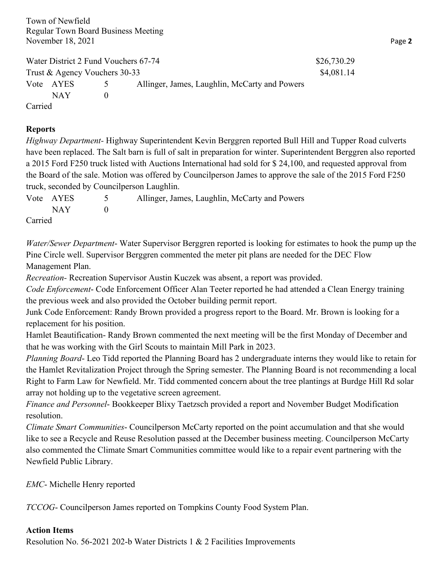Water District 2 Fund Vouchers 67-74 \$26,730.29 Trust & Agency Vouchers 30-33 \$4,081.14 Vote AYES 5 Allinger, James, Laughlin, McCarty and Powers  $NAY$  0 Carried

### **Reports**

*Highway Department-* Highway Superintendent Kevin Berggren reported Bull Hill and Tupper Road culverts have been replaced. The Salt barn is full of salt in preparation for winter. Superintendent Berggren also reported a 2015 Ford F250 truck listed with Auctions International had sold for \$ 24,100, and requested approval from the Board of the sale. Motion was offered by Councilperson James to approve the sale of the 2015 Ford F250 truck, seconded by Councilperson Laughlin.

|         | Vote AYES | Allinger, James, Laughlin, McCarty and Powers |
|---------|-----------|-----------------------------------------------|
|         | $NAY$ 0   |                                               |
| Carried |           |                                               |

*Water/Sewer Department*- Water Supervisor Berggren reported is looking for estimates to hook the pump up the Pine Circle well. Supervisor Berggren commented the meter pit plans are needed for the DEC Flow Management Plan.

*Recreation-* Recreation Supervisor Austin Kuczek was absent, a report was provided.

*Code Enforcement*- Code Enforcement Officer Alan Teeter reported he had attended a Clean Energy training the previous week and also provided the October building permit report.

Junk Code Enforcement: Randy Brown provided a progress report to the Board. Mr. Brown is looking for a replacement for his position.

Hamlet Beautification- Randy Brown commented the next meeting will be the first Monday of December and that he was working with the Girl Scouts to maintain Mill Park in 2023.

*Planning Board*- Leo Tidd reported the Planning Board has 2 undergraduate interns they would like to retain for the Hamlet Revitalization Project through the Spring semester. The Planning Board is not recommending a local Right to Farm Law for Newfield. Mr. Tidd commented concern about the tree plantings at Burdge Hill Rd solar array not holding up to the vegetative screen agreement.

*Finance and Personnel*- Bookkeeper Blixy Taetzsch provided a report and November Budget Modification resolution.

*Climate Smart Communities*- Councilperson McCarty reported on the point accumulation and that she would like to see a Recycle and Reuse Resolution passed at the December business meeting. Councilperson McCarty also commented the Climate Smart Communities committee would like to a repair event partnering with the Newfield Public Library.

*EMC*- Michelle Henry reported

*TCCOG*- Councilperson James reported on Tompkins County Food System Plan.

### **Action Items**

Resolution No. 56-2021 202-b Water Districts 1 & 2 Facilities Improvements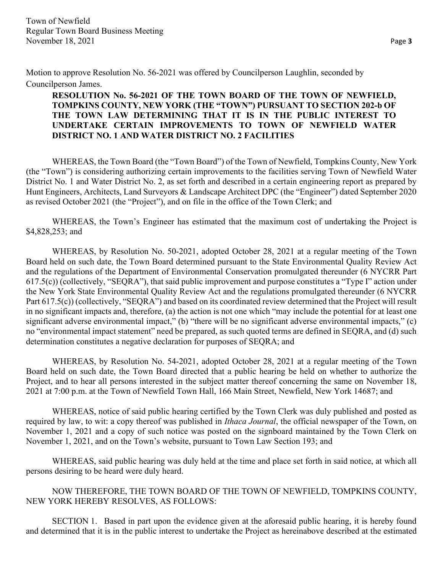Motion to approve Resolution No. 56-2021 was offered by Councilperson Laughlin, seconded by Councilperson James.

# **RESOLUTION No. 56-2021 OF THE TOWN BOARD OF THE TOWN OF NEWFIELD, TOMPKINS COUNTY, NEW YORK (THE "TOWN") PURSUANT TO SECTION 202-b OF THE TOWN LAW DETERMINING THAT IT IS IN THE PUBLIC INTEREST TO UNDERTAKE CERTAIN IMPROVEMENTS TO TOWN OF NEWFIELD WATER DISTRICT NO. 1 AND WATER DISTRICT NO. 2 FACILITIES**

WHEREAS, the Town Board (the "Town Board") of the Town of Newfield, Tompkins County, New York (the "Town") is considering authorizing certain improvements to the facilities serving Town of Newfield Water District No. 1 and Water District No. 2, as set forth and described in a certain engineering report as prepared by Hunt Engineers, Architects, Land Surveyors & Landscape Architect DPC (the "Engineer") dated September 2020 as revised October 2021 (the "Project"), and on file in the office of the Town Clerk; and

WHEREAS, the Town's Engineer has estimated that the maximum cost of undertaking the Project is \$4,828,253; and

WHEREAS, by Resolution No. 50-2021, adopted October 28, 2021 at a regular meeting of the Town Board held on such date, the Town Board determined pursuant to the State Environmental Quality Review Act and the regulations of the Department of Environmental Conservation promulgated thereunder (6 NYCRR Part 617.5(c)) (collectively, "SEQRA"), that said public improvement and purpose constitutes a "Type I" action under the New York State Environmental Quality Review Act and the regulations promulgated thereunder (6 NYCRR Part 617.5(c)) (collectively, "SEQRA") and based on its coordinated review determined that the Project will result in no significant impacts and, therefore, (a) the action is not one which "may include the potential for at least one significant adverse environmental impact," (b) "there will be no significant adverse environmental impacts," (c) no "environmental impact statement" need be prepared, as such quoted terms are defined in SEQRA, and (d) such determination constitutes a negative declaration for purposes of SEQRA; and

WHEREAS, by Resolution No. 54-2021, adopted October 28, 2021 at a regular meeting of the Town Board held on such date, the Town Board directed that a public hearing be held on whether to authorize the Project, and to hear all persons interested in the subject matter thereof concerning the same on November 18, 2021 at 7:00 p.m. at the Town of Newfield Town Hall, 166 Main Street, Newfield, New York 14687; and

WHEREAS, notice of said public hearing certified by the Town Clerk was duly published and posted as required by law, to wit: a copy thereof was published in *Ithaca Journal*, the official newspaper of the Town, on November 1, 2021 and a copy of such notice was posted on the signboard maintained by the Town Clerk on November 1, 2021, and on the Town's website, pursuant to Town Law Section 193; and

WHEREAS, said public hearing was duly held at the time and place set forth in said notice, at which all persons desiring to be heard were duly heard.

NOW THEREFORE, THE TOWN BOARD OF THE TOWN OF NEWFIELD, TOMPKINS COUNTY, NEW YORK HEREBY RESOLVES, AS FOLLOWS:

SECTION 1. Based in part upon the evidence given at the aforesaid public hearing, it is hereby found and determined that it is in the public interest to undertake the Project as hereinabove described at the estimated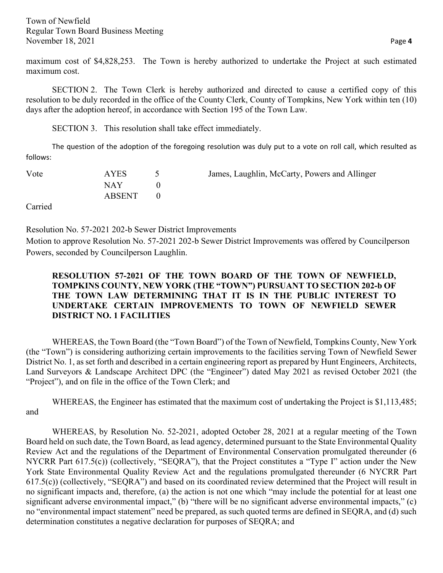maximum cost of \$4,828,253. The Town is hereby authorized to undertake the Project at such estimated maximum cost.

SECTION 2. The Town Clerk is hereby authorized and directed to cause a certified copy of this resolution to be duly recorded in the office of the County Clerk, County of Tompkins, New York within ten (10) days after the adoption hereof, in accordance with Section 195 of the Town Law.

SECTION 3. This resolution shall take effect immediately.

The question of the adoption of the foregoing resolution was duly put to a vote on roll call, which resulted as follows:

| Vote | <b>AYES</b> | James, Laughlin, McCarty, Powers and Allinger |
|------|-------------|-----------------------------------------------|
|      | NAY .       |                                               |
|      | ABSENT      |                                               |
|      |             |                                               |

Carried

Resolution No. 57-2021 202-b Sewer District Improvements

Motion to approve Resolution No. 57-2021 202-b Sewer District Improvements was offered by Councilperson Powers, seconded by Councilperson Laughlin.

# **RESOLUTION 57-2021 OF THE TOWN BOARD OF THE TOWN OF NEWFIELD, TOMPKINS COUNTY, NEW YORK (THE "TOWN") PURSUANT TO SECTION 202-b OF THE TOWN LAW DETERMINING THAT IT IS IN THE PUBLIC INTEREST TO UNDERTAKE CERTAIN IMPROVEMENTS TO TOWN OF NEWFIELD SEWER DISTRICT NO. 1 FACILITIES**

WHEREAS, the Town Board (the "Town Board") of the Town of Newfield, Tompkins County, New York (the "Town") is considering authorizing certain improvements to the facilities serving Town of Newfield Sewer District No. 1, as set forth and described in a certain engineering report as prepared by Hunt Engineers, Architects, Land Surveyors & Landscape Architect DPC (the "Engineer") dated May 2021 as revised October 2021 (the "Project"), and on file in the office of the Town Clerk; and

WHEREAS, the Engineer has estimated that the maximum cost of undertaking the Project is \$1,113,485; and

WHEREAS, by Resolution No. 52-2021, adopted October 28, 2021 at a regular meeting of the Town Board held on such date, the Town Board, as lead agency, determined pursuant to the State Environmental Quality Review Act and the regulations of the Department of Environmental Conservation promulgated thereunder (6 NYCRR Part 617.5(c)) (collectively, "SEQRA"), that the Project constitutes a "Type I" action under the New York State Environmental Quality Review Act and the regulations promulgated thereunder (6 NYCRR Part 617.5(c)) (collectively, "SEQRA") and based on its coordinated review determined that the Project will result in no significant impacts and, therefore, (a) the action is not one which "may include the potential for at least one significant adverse environmental impact," (b) "there will be no significant adverse environmental impacts," (c) no "environmental impact statement" need be prepared, as such quoted terms are defined in SEQRA, and (d) such determination constitutes a negative declaration for purposes of SEQRA; and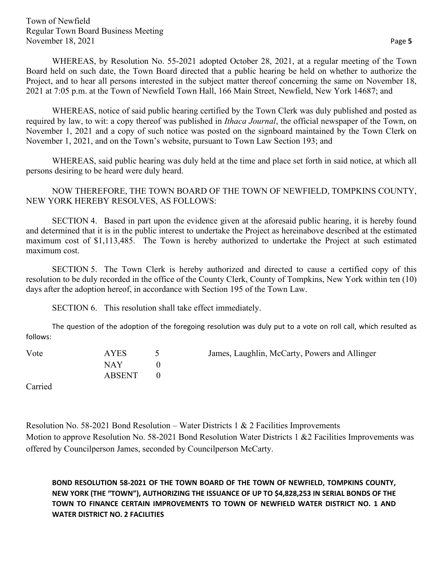WHEREAS, by Resolution No. 55-2021 adopted October 28, 2021, at a regular meeting of the Town Board held on such date, the Town Board directed that a public hearing be held on whether to authorize the Project, and to hear all persons interested in the subject matter thereof concerning the same on November 18, 2021 at 7:05 p.m. at the Town of Newfield Town Hall, 166 Main Street, Newfield, New York 14687; and

WHEREAS, notice of said public hearing certified by the Town Clerk was duly published and posted as required by law, to wit: a copy thereof was published in *Ithaca Journal*, the official newspaper of the Town, on November 1, 2021 and a copy of such notice was posted on the signboard maintained by the Town Clerk on November 1, 2021, and on the Town's website, pursuant to Town Law Section 193; and

WHEREAS, said public hearing was duly held at the time and place set forth in said notice, at which all persons desiring to be heard were duly heard.

NOW THEREFORE, THE TOWN BOARD OF THE TOWN OF NEWFIELD, TOMPKINS COUNTY, NEW YORK HEREBY RESOLVES, AS FOLLOWS:

SECTION 4. Based in part upon the evidence given at the aforesaid public hearing, it is hereby found and determined that it is in the public interest to undertake the Project as hereinabove described at the estimated maximum cost of \$1,113,485. The Town is hereby authorized to undertake the Project at such estimated maximum cost.

SECTION 5. The Town Clerk is hereby authorized and directed to cause a certified copy of this resolution to be duly recorded in the office of the County Clerk, County of Tompkins, New York within ten (10) days after the adoption hereof, in accordance with Section 195 of the Town Law.

SECTION 6. This resolution shall take effect immediately.

The question of the adoption of the foregoing resolution was duly put to a vote on roll call, which resulted as follows:

Vote AYES 5 James, Laughlin, McCarty, Powers and Allinger  $NAY$  0 ABSENT 0

Carried

Resolution No. 58-2021 Bond Resolution – Water Districts 1 & 2 Facilities Improvements Motion to approve Resolution No. 58-2021 Bond Resolution Water Districts 1 & 2 Facilities Improvements was offered by Councilperson James, seconded by Councilperson McCarty.

**BOND RESOLUTION 58-2021 OF THE TOWN BOARD OF THE TOWN OF NEWFIELD, TOMPKINS COUNTY, NEW YORK (THE "TOWN"), AUTHORIZING THE ISSUANCE OF UP TO \$4,828,253 IN SERIAL BONDS OF THE TOWN TO FINANCE CERTAIN IMPROVEMENTS TO TOWN OF NEWFIELD WATER DISTRICT NO. 1 AND WATER DISTRICT NO. 2 FACILITIES**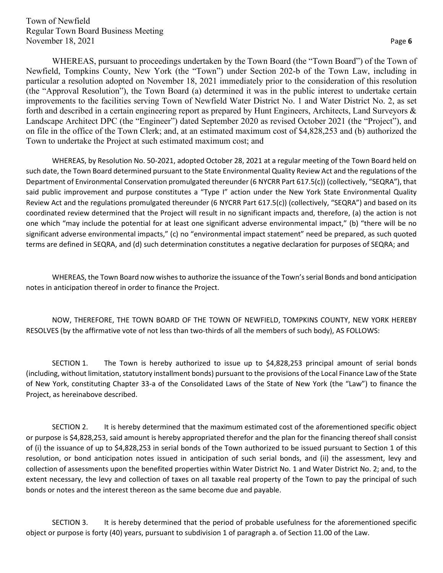WHEREAS, pursuant to proceedings undertaken by the Town Board (the "Town Board") of the Town of Newfield, Tompkins County, New York (the "Town") under Section 202-b of the Town Law, including in particular a resolution adopted on November 18, 2021 immediately prior to the consideration of this resolution (the "Approval Resolution"), the Town Board (a) determined it was in the public interest to undertake certain improvements to the facilities serving Town of Newfield Water District No. 1 and Water District No. 2, as set forth and described in a certain engineering report as prepared by Hunt Engineers, Architects, Land Surveyors & Landscape Architect DPC (the "Engineer") dated September 2020 as revised October 2021 (the "Project"), and on file in the office of the Town Clerk; and, at an estimated maximum cost of \$4,828,253 and (b) authorized the Town to undertake the Project at such estimated maximum cost; and

WHEREAS, by Resolution No. 50-2021, adopted October 28, 2021 at a regular meeting of the Town Board held on such date, the Town Board determined pursuant to the State Environmental Quality Review Act and the regulations of the Department of Environmental Conservation promulgated thereunder (6 NYCRR Part 617.5(c)) (collectively, "SEQRA"), that said public improvement and purpose constitutes a "Type I" action under the New York State Environmental Quality Review Act and the regulations promulgated thereunder (6 NYCRR Part 617.5(c)) (collectively, "SEQRA") and based on its coordinated review determined that the Project will result in no significant impacts and, therefore, (a) the action is not one which "may include the potential for at least one significant adverse environmental impact," (b) "there will be no significant adverse environmental impacts," (c) no "environmental impact statement" need be prepared, as such quoted terms are defined in SEQRA, and (d) such determination constitutes a negative declaration for purposes of SEQRA; and

WHEREAS, the Town Board now wishes to authorize the issuance of the Town's serial Bonds and bond anticipation notes in anticipation thereof in order to finance the Project.

NOW, THEREFORE, THE TOWN BOARD OF THE TOWN OF NEWFIELD, TOMPKINS COUNTY, NEW YORK HEREBY RESOLVES (by the affirmative vote of not less than two-thirds of all the members of such body), AS FOLLOWS:

SECTION 1. The Town is hereby authorized to issue up to \$4,828,253 principal amount of serial bonds (including, without limitation, statutory installment bonds) pursuant to the provisions of the Local Finance Law of the State of New York, constituting Chapter 33-a of the Consolidated Laws of the State of New York (the "Law") to finance the Project, as hereinabove described.

SECTION 2. It is hereby determined that the maximum estimated cost of the aforementioned specific object or purpose is \$4,828,253, said amount is hereby appropriated therefor and the plan for the financing thereof shall consist of (i) the issuance of up to \$4,828,253 in serial bonds of the Town authorized to be issued pursuant to Section 1 of this resolution, or bond anticipation notes issued in anticipation of such serial bonds, and (ii) the assessment, levy and collection of assessments upon the benefited properties within Water District No. 1 and Water District No. 2; and, to the extent necessary, the levy and collection of taxes on all taxable real property of the Town to pay the principal of such bonds or notes and the interest thereon as the same become due and payable.

SECTION 3. It is hereby determined that the period of probable usefulness for the aforementioned specific object or purpose is forty (40) years, pursuant to subdivision 1 of paragraph a. of Section 11.00 of the Law.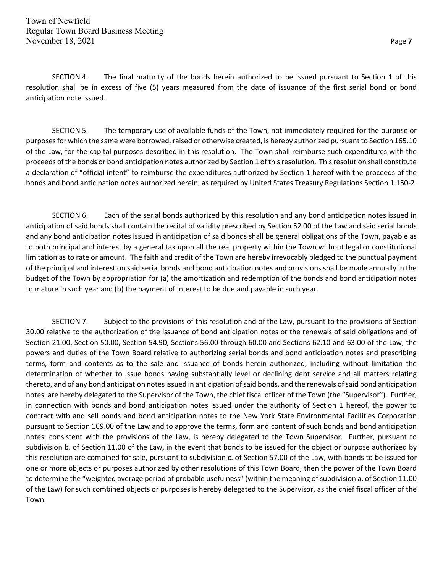SECTION 4. The final maturity of the bonds herein authorized to be issued pursuant to Section 1 of this resolution shall be in excess of five (5) years measured from the date of issuance of the first serial bond or bond anticipation note issued.

SECTION 5. The temporary use of available funds of the Town, not immediately required for the purpose or purposes for which the same were borrowed, raised or otherwise created, is hereby authorized pursuant to Section 165.10 of the Law, for the capital purposes described in this resolution. The Town shall reimburse such expenditures with the proceeds of the bonds or bond anticipation notes authorized by Section 1 of this resolution. This resolution shall constitute a declaration of "official intent" to reimburse the expenditures authorized by Section 1 hereof with the proceeds of the bonds and bond anticipation notes authorized herein, as required by United States Treasury Regulations Section 1.150-2.

SECTION 6. Each of the serial bonds authorized by this resolution and any bond anticipation notes issued in anticipation of said bonds shall contain the recital of validity prescribed by Section 52.00 of the Law and said serial bonds and any bond anticipation notes issued in anticipation of said bonds shall be general obligations of the Town, payable as to both principal and interest by a general tax upon all the real property within the Town without legal or constitutional limitation as to rate or amount. The faith and credit of the Town are hereby irrevocably pledged to the punctual payment of the principal and interest on said serial bonds and bond anticipation notes and provisions shall be made annually in the budget of the Town by appropriation for (a) the amortization and redemption of the bonds and bond anticipation notes to mature in such year and (b) the payment of interest to be due and payable in such year.

SECTION 7. Subject to the provisions of this resolution and of the Law, pursuant to the provisions of Section 30.00 relative to the authorization of the issuance of bond anticipation notes or the renewals of said obligations and of Section 21.00, Section 50.00, Section 54.90, Sections 56.00 through 60.00 and Sections 62.10 and 63.00 of the Law, the powers and duties of the Town Board relative to authorizing serial bonds and bond anticipation notes and prescribing terms, form and contents as to the sale and issuance of bonds herein authorized, including without limitation the determination of whether to issue bonds having substantially level or declining debt service and all matters relating thereto, and of any bond anticipation notes issued in anticipation of said bonds, and the renewals of said bond anticipation notes, are hereby delegated to the Supervisor of the Town, the chief fiscal officer of the Town (the "Supervisor"). Further, in connection with bonds and bond anticipation notes issued under the authority of Section 1 hereof, the power to contract with and sell bonds and bond anticipation notes to the New York State Environmental Facilities Corporation pursuant to Section 169.00 of the Law and to approve the terms, form and content of such bonds and bond anticipation notes, consistent with the provisions of the Law, is hereby delegated to the Town Supervisor. Further, pursuant to subdivision b. of Section 11.00 of the Law, in the event that bonds to be issued for the object or purpose authorized by this resolution are combined for sale, pursuant to subdivision c. of Section 57.00 of the Law, with bonds to be issued for one or more objects or purposes authorized by other resolutions of this Town Board, then the power of the Town Board to determine the "weighted average period of probable usefulness" (within the meaning of subdivision a. of Section 11.00 of the Law) for such combined objects or purposes is hereby delegated to the Supervisor, as the chief fiscal officer of the Town.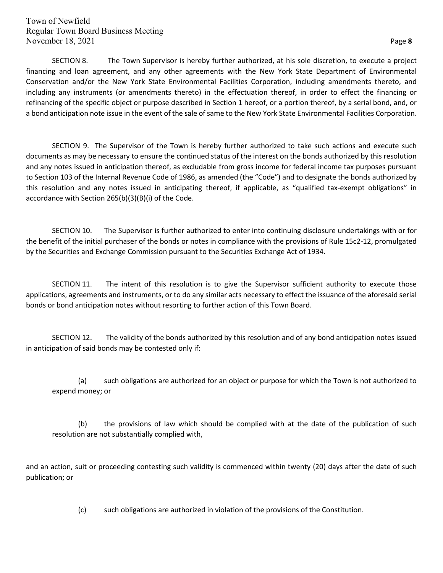SECTION 8. The Town Supervisor is hereby further authorized, at his sole discretion, to execute a project financing and loan agreement, and any other agreements with the New York State Department of Environmental Conservation and/or the New York State Environmental Facilities Corporation, including amendments thereto, and including any instruments (or amendments thereto) in the effectuation thereof, in order to effect the financing or refinancing of the specific object or purpose described in Section 1 hereof, or a portion thereof, by a serial bond, and, or a bond anticipation note issue in the event of the sale of same to the New York State Environmental Facilities Corporation.

SECTION 9. The Supervisor of the Town is hereby further authorized to take such actions and execute such documents as may be necessary to ensure the continued status of the interest on the bonds authorized by this resolution and any notes issued in anticipation thereof, as excludable from gross income for federal income tax purposes pursuant to Section 103 of the Internal Revenue Code of 1986, as amended (the "Code") and to designate the bonds authorized by this resolution and any notes issued in anticipating thereof, if applicable, as "qualified tax-exempt obligations" in accordance with Section 265(b)(3)(B)(i) of the Code.

SECTION 10. The Supervisor is further authorized to enter into continuing disclosure undertakings with or for the benefit of the initial purchaser of the bonds or notes in compliance with the provisions of Rule 15c2-12, promulgated by the Securities and Exchange Commission pursuant to the Securities Exchange Act of 1934.

SECTION 11. The intent of this resolution is to give the Supervisor sufficient authority to execute those applications, agreements and instruments, or to do any similar acts necessary to effect the issuance of the aforesaid serial bonds or bond anticipation notes without resorting to further action of this Town Board.

SECTION 12. The validity of the bonds authorized by this resolution and of any bond anticipation notes issued in anticipation of said bonds may be contested only if:

(a) such obligations are authorized for an object or purpose for which the Town is not authorized to expend money; or

(b) the provisions of law which should be complied with at the date of the publication of such resolution are not substantially complied with,

and an action, suit or proceeding contesting such validity is commenced within twenty (20) days after the date of such publication; or

(c) such obligations are authorized in violation of the provisions of the Constitution.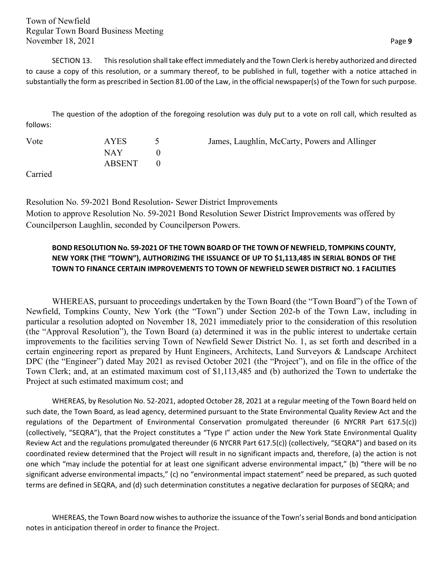SECTION 13. This resolution shall take effect immediately and the Town Clerk is hereby authorized and directed to cause a copy of this resolution, or a summary thereof, to be published in full, together with a notice attached in substantially the form as prescribed in Section 81.00 of the Law, in the official newspaper(s) of the Town for such purpose.

The question of the adoption of the foregoing resolution was duly put to a vote on roll call, which resulted as follows:

| Vote | <b>AYES</b> | James, Laughlin, McCarty, Powers and Allinger |
|------|-------------|-----------------------------------------------|
|      | NAY 1       |                                               |
|      | ABSENT      |                                               |
| ____ |             |                                               |

Carried

Resolution No. 59-2021 Bond Resolution- Sewer District Improvements Motion to approve Resolution No. 59-2021 Bond Resolution Sewer District Improvements was offered by Councilperson Laughlin, seconded by Councilperson Powers.

### **BOND RESOLUTION No. 59-2021 OF THE TOWN BOARD OF THE TOWN OF NEWFIELD, TOMPKINS COUNTY, NEW YORK (THE "TOWN"), AUTHORIZING THE ISSUANCE OF UP TO \$1,113,485 IN SERIAL BONDS OF THE TOWN TO FINANCE CERTAIN IMPROVEMENTS TO TOWN OF NEWFIELD SEWER DISTRICT NO. 1 FACILITIES**

WHEREAS, pursuant to proceedings undertaken by the Town Board (the "Town Board") of the Town of Newfield, Tompkins County, New York (the "Town") under Section 202-b of the Town Law, including in particular a resolution adopted on November 18, 2021 immediately prior to the consideration of this resolution (the "Approval Resolution"), the Town Board (a) determined it was in the public interest to undertake certain improvements to the facilities serving Town of Newfield Sewer District No. 1, as set forth and described in a certain engineering report as prepared by Hunt Engineers, Architects, Land Surveyors & Landscape Architect DPC (the "Engineer") dated May 2021 as revised October 2021 (the "Project"), and on file in the office of the Town Clerk; and, at an estimated maximum cost of \$1,113,485 and (b) authorized the Town to undertake the Project at such estimated maximum cost; and

WHEREAS, by Resolution No. 52-2021, adopted October 28, 2021 at a regular meeting of the Town Board held on such date, the Town Board, as lead agency, determined pursuant to the State Environmental Quality Review Act and the regulations of the Department of Environmental Conservation promulgated thereunder (6 NYCRR Part 617.5(c)) (collectively, "SEQRA"), that the Project constitutes a "Type I" action under the New York State Environmental Quality Review Act and the regulations promulgated thereunder (6 NYCRR Part 617.5(c)) (collectively, "SEQRA") and based on its coordinated review determined that the Project will result in no significant impacts and, therefore, (a) the action is not one which "may include the potential for at least one significant adverse environmental impact," (b) "there will be no significant adverse environmental impacts," (c) no "environmental impact statement" need be prepared, as such quoted terms are defined in SEQRA, and (d) such determination constitutes a negative declaration for purposes of SEQRA; and

WHEREAS, the Town Board now wishes to authorize the issuance of the Town's serial Bonds and bond anticipation notes in anticipation thereof in order to finance the Project.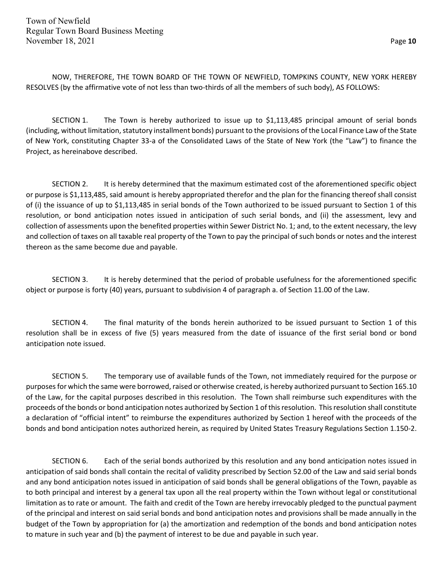NOW, THEREFORE, THE TOWN BOARD OF THE TOWN OF NEWFIELD, TOMPKINS COUNTY, NEW YORK HEREBY RESOLVES (by the affirmative vote of not less than two-thirds of all the members of such body), AS FOLLOWS:

SECTION 1. The Town is hereby authorized to issue up to \$1,113,485 principal amount of serial bonds (including, without limitation, statutory installment bonds) pursuant to the provisions of the Local Finance Law of the State of New York, constituting Chapter 33-a of the Consolidated Laws of the State of New York (the "Law") to finance the Project, as hereinabove described.

SECTION 2. It is hereby determined that the maximum estimated cost of the aforementioned specific object or purpose is \$1,113,485, said amount is hereby appropriated therefor and the plan for the financing thereof shall consist of (i) the issuance of up to \$1,113,485 in serial bonds of the Town authorized to be issued pursuant to Section 1 of this resolution, or bond anticipation notes issued in anticipation of such serial bonds, and (ii) the assessment, levy and collection of assessments upon the benefited properties within Sewer District No. 1; and, to the extent necessary, the levy and collection of taxes on all taxable real property of the Town to pay the principal of such bonds or notes and the interest thereon as the same become due and payable.

SECTION 3. It is hereby determined that the period of probable usefulness for the aforementioned specific object or purpose is forty (40) years, pursuant to subdivision 4 of paragraph a. of Section 11.00 of the Law.

SECTION 4. The final maturity of the bonds herein authorized to be issued pursuant to Section 1 of this resolution shall be in excess of five (5) years measured from the date of issuance of the first serial bond or bond anticipation note issued.

SECTION 5. The temporary use of available funds of the Town, not immediately required for the purpose or purposes for which the same were borrowed, raised or otherwise created, is hereby authorized pursuant to Section 165.10 of the Law, for the capital purposes described in this resolution. The Town shall reimburse such expenditures with the proceeds of the bonds or bond anticipation notes authorized by Section 1 of this resolution. This resolution shall constitute a declaration of "official intent" to reimburse the expenditures authorized by Section 1 hereof with the proceeds of the bonds and bond anticipation notes authorized herein, as required by United States Treasury Regulations Section 1.150-2.

SECTION 6. Each of the serial bonds authorized by this resolution and any bond anticipation notes issued in anticipation of said bonds shall contain the recital of validity prescribed by Section 52.00 of the Law and said serial bonds and any bond anticipation notes issued in anticipation of said bonds shall be general obligations of the Town, payable as to both principal and interest by a general tax upon all the real property within the Town without legal or constitutional limitation as to rate or amount. The faith and credit of the Town are hereby irrevocably pledged to the punctual payment of the principal and interest on said serial bonds and bond anticipation notes and provisions shall be made annually in the budget of the Town by appropriation for (a) the amortization and redemption of the bonds and bond anticipation notes to mature in such year and (b) the payment of interest to be due and payable in such year.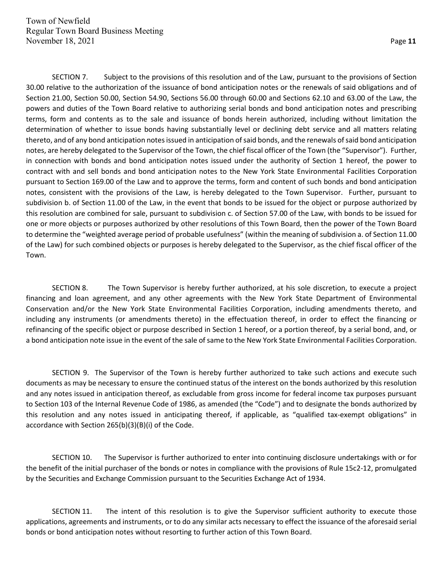SECTION 7. Subject to the provisions of this resolution and of the Law, pursuant to the provisions of Section 30.00 relative to the authorization of the issuance of bond anticipation notes or the renewals of said obligations and of Section 21.00, Section 50.00, Section 54.90, Sections 56.00 through 60.00 and Sections 62.10 and 63.00 of the Law, the powers and duties of the Town Board relative to authorizing serial bonds and bond anticipation notes and prescribing terms, form and contents as to the sale and issuance of bonds herein authorized, including without limitation the determination of whether to issue bonds having substantially level or declining debt service and all matters relating thereto, and of any bond anticipation notes issued in anticipation of said bonds, and the renewals of said bond anticipation notes, are hereby delegated to the Supervisor of the Town, the chief fiscal officer of the Town (the "Supervisor"). Further, in connection with bonds and bond anticipation notes issued under the authority of Section 1 hereof, the power to contract with and sell bonds and bond anticipation notes to the New York State Environmental Facilities Corporation pursuant to Section 169.00 of the Law and to approve the terms, form and content of such bonds and bond anticipation notes, consistent with the provisions of the Law, is hereby delegated to the Town Supervisor. Further, pursuant to subdivision b. of Section 11.00 of the Law, in the event that bonds to be issued for the object or purpose authorized by this resolution are combined for sale, pursuant to subdivision c. of Section 57.00 of the Law, with bonds to be issued for one or more objects or purposes authorized by other resolutions of this Town Board, then the power of the Town Board to determine the "weighted average period of probable usefulness" (within the meaning of subdivision a. of Section 11.00 of the Law) for such combined objects or purposes is hereby delegated to the Supervisor, as the chief fiscal officer of the Town.

SECTION 8. The Town Supervisor is hereby further authorized, at his sole discretion, to execute a project financing and loan agreement, and any other agreements with the New York State Department of Environmental Conservation and/or the New York State Environmental Facilities Corporation, including amendments thereto, and including any instruments (or amendments thereto) in the effectuation thereof, in order to effect the financing or refinancing of the specific object or purpose described in Section 1 hereof, or a portion thereof, by a serial bond, and, or a bond anticipation note issue in the event of the sale of same to the New York State Environmental Facilities Corporation.

SECTION 9. The Supervisor of the Town is hereby further authorized to take such actions and execute such documents as may be necessary to ensure the continued status of the interest on the bonds authorized by this resolution and any notes issued in anticipation thereof, as excludable from gross income for federal income tax purposes pursuant to Section 103 of the Internal Revenue Code of 1986, as amended (the "Code") and to designate the bonds authorized by this resolution and any notes issued in anticipating thereof, if applicable, as "qualified tax-exempt obligations" in accordance with Section 265(b)(3)(B)(i) of the Code.

SECTION 10. The Supervisor is further authorized to enter into continuing disclosure undertakings with or for the benefit of the initial purchaser of the bonds or notes in compliance with the provisions of Rule 15c2-12, promulgated by the Securities and Exchange Commission pursuant to the Securities Exchange Act of 1934.

SECTION 11. The intent of this resolution is to give the Supervisor sufficient authority to execute those applications, agreements and instruments, or to do any similar acts necessary to effect the issuance of the aforesaid serial bonds or bond anticipation notes without resorting to further action of this Town Board.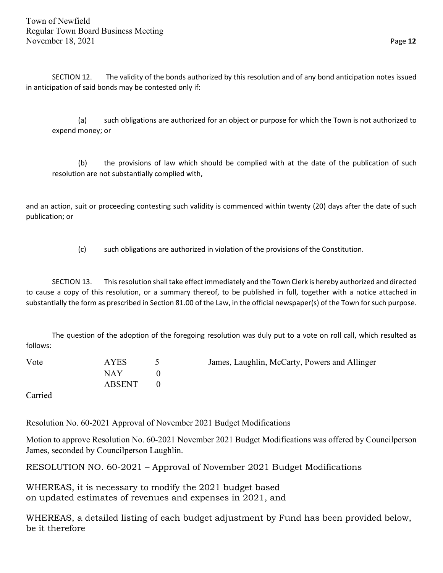SECTION 12. The validity of the bonds authorized by this resolution and of any bond anticipation notes issued in anticipation of said bonds may be contested only if:

(a) such obligations are authorized for an object or purpose for which the Town is not authorized to expend money; or

(b) the provisions of law which should be complied with at the date of the publication of such resolution are not substantially complied with,

and an action, suit or proceeding contesting such validity is commenced within twenty (20) days after the date of such publication; or

(c) such obligations are authorized in violation of the provisions of the Constitution.

SECTION 13. This resolution shall take effect immediately and the Town Clerk is hereby authorized and directed to cause a copy of this resolution, or a summary thereof, to be published in full, together with a notice attached in substantially the form as prescribed in Section 81.00 of the Law, in the official newspaper(s) of the Town for such purpose.

The question of the adoption of the foregoing resolution was duly put to a vote on roll call, which resulted as follows:

| Vote            | AYES   | James, Laughlin, McCarty, Powers and Allinger |
|-----------------|--------|-----------------------------------------------|
|                 | NAY    |                                               |
|                 | ABSENT |                                               |
| $\sim$ $\sim$ 1 |        |                                               |

Carried

Resolution No. 60-2021 Approval of November 2021 Budget Modifications

Motion to approve Resolution No. 60-2021 November 2021 Budget Modifications was offered by Councilperson James, seconded by Councilperson Laughlin.

RESOLUTION NO. 60-2021 – Approval of November 2021 Budget Modifications

WHEREAS, it is necessary to modify the 2021 budget based on updated estimates of revenues and expenses in 2021, and

WHEREAS, a detailed listing of each budget adjustment by Fund has been provided below, be it therefore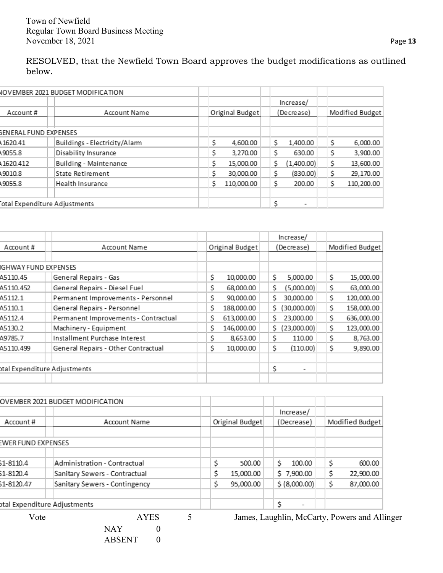RESOLVED, that the Newfield Town Board approves the budget modifications as outlined below.

|                              | <b>NOVEMBER 2021 BUDGET MODIFICATION</b> |   |                 |   |                          |  |                 |
|------------------------------|------------------------------------------|---|-----------------|---|--------------------------|--|-----------------|
|                              |                                          |   |                 |   | Increase/                |  |                 |
| Account #                    | Account Name                             |   | Original Budget |   | (Decrease)               |  | Modified Budget |
|                              |                                          |   |                 |   |                          |  |                 |
| SENERAL FUND EXPENSES        |                                          |   |                 |   |                          |  |                 |
| 1620.41                      | Buildings - Electricity/Alarm            | S | 4,600.00        | S | 1,400.00                 |  | 6,000.00        |
| 49055.8                      | Disability Insurance                     |   | 3,270.00        | S | 630.00                   |  | 3,900.00        |
| 1620.412                     | Building - Maintenance                   | S | 15,000.00       | S | (1,400.00)               |  | 13,600.00       |
| 19010.8                      | State Retirement                         |   | 30,000.00       | S | (830.00)                 |  | 29,170.00       |
| 49055.8                      | Health Insurance                         |   | 110,000.00      | S | 200.00                   |  | 110,200.00      |
|                              |                                          |   |                 |   |                          |  |                 |
| otal Expenditure Adjustments |                                          |   |                 | S | $\overline{\phantom{0}}$ |  |                 |

|                              |                                      |    |                 | Increase/         |    |                 |
|------------------------------|--------------------------------------|----|-----------------|-------------------|----|-----------------|
| Account#                     | Account Name                         |    | Original Budget | (Decrease)        |    | Modified Budget |
|                              |                                      |    |                 |                   |    |                 |
| IGHWAY FUND EXPENSES         |                                      |    |                 |                   |    |                 |
| A5110.45                     | General Repairs - Gas                | S  | 10,000.00       | S<br>5,000.00     | Ş  | 15,000.00       |
| A5110.452                    | General Repairs - Diesel Fuel        | \$ | 68,000.00       | (5,000.00)<br>Ś   | S  | 63,000.00       |
| A5112.1                      | Permanent Improvements - Personnel   | S  | 90,000.00       | 30,000.00<br>Ś    | \$ | 120,000.00      |
| A5110.1                      | General Repairs - Personnel          | S  | 188,000.00      | (30,000.00)<br>S. | S  | 158,000.00      |
| A5112.4                      | Permanent Improvements - Contractual | S  | 613,000.00      | 23,000.00<br>S    | \$ | 636,000.00      |
| A5130.2                      | Machinery - Equipment                | S  | 146,000.00      | (23,000.00)<br>S. | \$ | 123,000.00      |
| A9785.7                      | Installment Purchase Interest        | S  | 8,653.00        | S<br>110.00       | \$ | 8,763.00        |
| A5110.499                    | General Repairs - Other Contractual  | S  | 10,000.00       | (110.00)<br>S     | \$ | 9,890.00        |
|                              |                                      |    |                 |                   |    |                 |
| otal Expenditure Adjustments |                                      |    |                 | Ś                 |    |                 |
|                              |                                      |    |                 |                   |    |                 |

|                    | OVEMBER 2021 BUDGET MODIFICATION                |            |                 |               |                                                                                                                                                                                                                                                                                                                                    |
|--------------------|-------------------------------------------------|------------|-----------------|---------------|------------------------------------------------------------------------------------------------------------------------------------------------------------------------------------------------------------------------------------------------------------------------------------------------------------------------------------|
|                    |                                                 |            |                 | Increase/     |                                                                                                                                                                                                                                                                                                                                    |
| Account#           | Account Name                                    |            | Original Budget | (Decrease)    | Modified Budget                                                                                                                                                                                                                                                                                                                    |
|                    |                                                 |            |                 |               |                                                                                                                                                                                                                                                                                                                                    |
| EWER FUND EXPENSES |                                                 |            |                 |               |                                                                                                                                                                                                                                                                                                                                    |
| \$1-8110.4         | Administration - Contractual                    |            | Ś<br>500.00     | Ś.<br>100.00  | \$<br>600.00                                                                                                                                                                                                                                                                                                                       |
| \$1-8120.4         | Sanitary Sewers - Contractual                   |            | \$<br>15,000.00 | \$7,900.00    | \$<br>22,900.00                                                                                                                                                                                                                                                                                                                    |
| \$1-8120.47        | Sanitary Sewers - Contingency                   |            | \$<br>95,000.00 | \$ (8,000.00) | \$<br>87,000.00                                                                                                                                                                                                                                                                                                                    |
|                    | otal Expenditure Adjustments                    |            |                 | \$<br>۰       |                                                                                                                                                                                                                                                                                                                                    |
| $\mathbf{v}$       | $\lambda$ $\lambda$ $\lambda$ $\Gamma$ $\Omega$ | $\epsilon$ |                 |               | $\mathbf{I}$ $\mathbf{I}$ $\mathbf{I}$ $\mathbf{I}$ $\mathbf{I}$ $\mathbf{I}$ $\mathbf{I}$ $\mathbf{I}$ $\mathbf{I}$ $\mathbf{I}$ $\mathbf{I}$ $\mathbf{I}$ $\mathbf{I}$ $\mathbf{I}$ $\mathbf{I}$ $\mathbf{I}$ $\mathbf{I}$ $\mathbf{I}$ $\mathbf{I}$ $\mathbf{I}$ $\mathbf{I}$ $\mathbf{I}$ $\mathbf{I}$ $\mathbf{I}$ $\mathbf{$ |

NAY 0 ABSENT 0

Vote AYES 5 James, Laughlin, McCarty, Powers and Allinger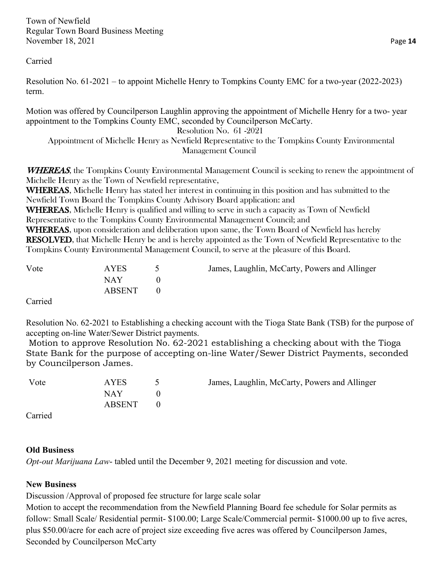Carried

Resolution No. 61-2021 – to appoint Michelle Henry to Tompkins County EMC for a two-year (2022-2023) term.

Motion was offered by Councilperson Laughlin approving the appointment of Michelle Henry for a two- year appointment to the Tompkins County EMC, seconded by Councilperson McCarty.

#### Resolution No. 61 -2021

Appointment of Michelle Henry as Newfield Representative to the Tompkins County Environmental Management Council

**WHEREAS**, the Tompkins County Environmental Management Council is seeking to renew the appointment of Michelle Henry as the Town of Newfield representative,

WHEREAS, Michelle Henry has stated her interest in continuing in this position and has submitted to the Newfield Town Board the Tompkins County Advisory Board application: and

WHEREAS, Michelle Henry is qualified and willing to serve in such a capacity as Town of Newfield Representative to the Tompkins County Environmental Management Council; and

WHEREAS, upon consideration and deliberation upon same, the Town Board of Newfield has hereby RESOLVED, that Michelle Henry be and is hereby appointed as the Town of Newfield Representative to the Tompkins County Environmental Management Council, to serve at the pleasure of this Board.

| Vote            | <b>AYES</b> | James, Laughlin, McCarty, Powers and Allinger |
|-----------------|-------------|-----------------------------------------------|
|                 | NAY.        |                                               |
|                 | ABSENT      |                                               |
| $\sim$ $\sim$ 1 |             |                                               |

Carried

Resolution No. 62-2021 to Establishing a checking account with the Tioga State Bank (TSB) for the purpose of accepting on-line Water/Sewer District payments.

Motion to approve Resolution No. 62-2021 establishing a checking about with the Tioga State Bank for the purpose of accepting on-line Water/Sewer District Payments, seconded by Councilperson James.

| Vote                        | AYES   | James, Laughlin, McCarty, Powers and Allinger |
|-----------------------------|--------|-----------------------------------------------|
|                             | NAY    |                                               |
|                             | ABSENT |                                               |
| $\sim$ $\sim$ $\sim$ $\sim$ |        |                                               |

Carried

# **Old Business**

*Opt-out Marijuana Law*- tabled until the December 9, 2021 meeting for discussion and vote.

# **New Business**

Discussion /Approval of proposed fee structure for large scale solar

Motion to accept the recommendation from the Newfield Planning Board fee schedule for Solar permits as follow: Small Scale/ Residential permit- \$100.00; Large Scale/Commercial permit- \$1000.00 up to five acres, plus \$50.00/acre for each acre of project size exceeding five acres was offered by Councilperson James, Seconded by Councilperson McCarty